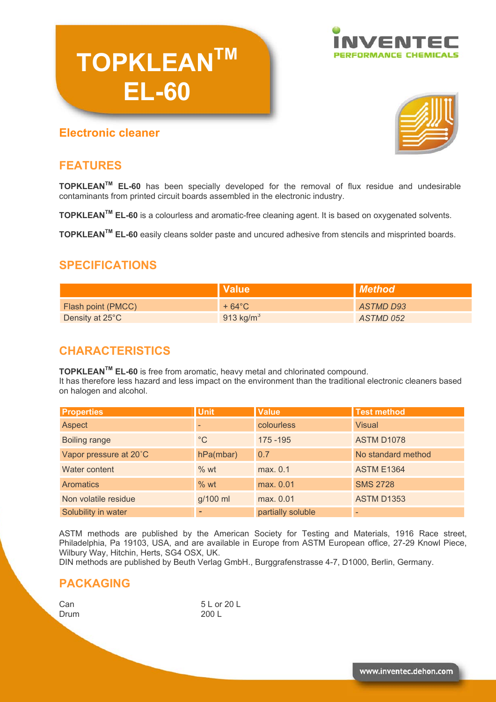

### **Electronic cleaner**

**TOPKLEANTM**

**EL-60** 



### **FEATURES**

**TOPKLEANTM EL-60** has been specially developed for the removal of flux residue and undesirable contaminants from printed circuit boards assembled in the electronic industry.

**TOPKLEANTM EL-60** is a colourless and aromatic-free cleaning agent. It is based on oxygenated solvents.

**TOPKLEANTM EL-60** easily cleans solder paste and uncured adhesive from stencils and misprinted boards.

# **SPECIFICATIONS**

|                    | <b>Value</b> !        | Method    |
|--------------------|-----------------------|-----------|
| Flash point (PMCC) | $+64^{\circ}$ C       | ASTMD D93 |
| Density at 25°C    | 913 kg/m <sup>3</sup> | ASTMD 052 |

### **CHARACTERISTICS**

**TOPKLEANTM EL-60** is free from aromatic, heavy metal and chlorinated compound.

It has therefore less hazard and less impact on the environment than the traditional electronic cleaners based on halogen and alcohol.

| <b>Properties</b>      | <b>Unit</b> | <b>Value</b>      | <b>Test method</b> |
|------------------------|-------------|-------------------|--------------------|
| Aspect                 |             | colourless        | <b>Visual</b>      |
| <b>Boiling range</b>   | $^{\circ}C$ | 175 - 195         | <b>ASTM D1078</b>  |
| Vapor pressure at 20°C | hPa(mbar)   | 0.7               | No standard method |
| Water content          | % wt        | max. 0.1          | <b>ASTM E1364</b>  |
| <b>Aromatics</b>       | % wt        | max. 0.01         | <b>SMS 2728</b>    |
| Non volatile residue   | g/100 ml    | max. 0.01         | <b>ASTM D1353</b>  |
| Solubility in water    |             | partially soluble |                    |

ASTM methods are published by the American Society for Testing and Materials, 1916 Race street, Philadelphia, Pa 19103, USA, and are available in Europe from ASTM European office, 27-29 Knowl Piece, Wilbury Way, Hitchin, Herts, SG4 OSX, UK.

DIN methods are published by Beuth Verlag GmbH., Burggrafenstrasse 4-7, D1000, Berlin, Germany.

#### **PACKAGING**

Drum 200 L

Can 5 L or 20 L